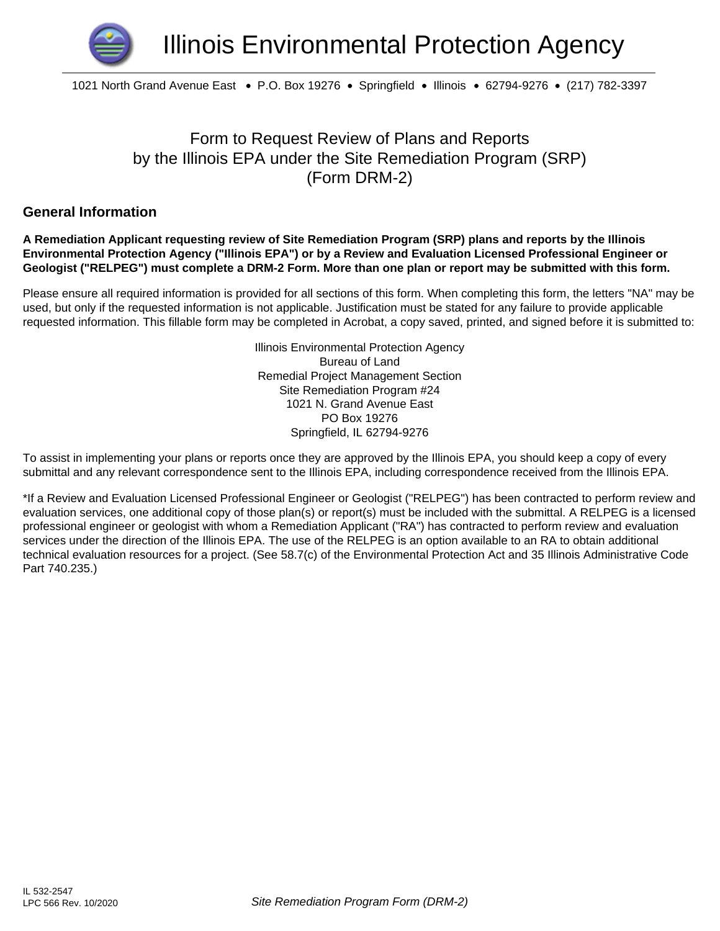

1021 North Grand Avenue East • P.O. Box 19276 • Springfield • Illinois • 62794-9276 • (217) 782-3397

## Form to Request Review of Plans and Reports by the Illinois EPA under the Site Remediation Program (SRP) (Form DRM-2)

### **General Information**

#### **A Remediation Applicant requesting review of Site Remediation Program (SRP) plans and reports by the Illinois Environmental Protection Agency ("Illinois EPA") or by a Review and Evaluation Licensed Professional Engineer or Geologist ("RELPEG") must complete a DRM-2 Form. More than one plan or report may be submitted with this form.**

Please ensure all required information is provided for all sections of this form. When completing this form, the letters "NA" may be used, but only if the requested information is not applicable. Justification must be stated for any failure to provide applicable requested information. This fillable form may be completed in Acrobat, a copy saved, printed, and signed before it is submitted to:

> Illinois Environmental Protection Agency Bureau of Land Remedial Project Management Section Site Remediation Program #24 1021 N. Grand Avenue East PO Box 19276 Springfield, IL 62794-9276

To assist in implementing your plans or reports once they are approved by the Illinois EPA, you should keep a copy of every submittal and any relevant correspondence sent to the Illinois EPA, including correspondence received from the Illinois EPA.

\*If a Review and Evaluation Licensed Professional Engineer or Geologist ("RELPEG") has been contracted to perform review and evaluation services, one additional copy of those plan(s) or report(s) must be included with the submittal. A RELPEG is a licensed professional engineer or geologist with whom a Remediation Applicant ("RA") has contracted to perform review and evaluation services under the direction of the Illinois EPA. The use of the RELPEG is an option available to an RA to obtain additional technical evaluation resources for a project. (See 58.7(c) of the Environmental Protection Act and 35 Illinois Administrative Code Part 740.235.)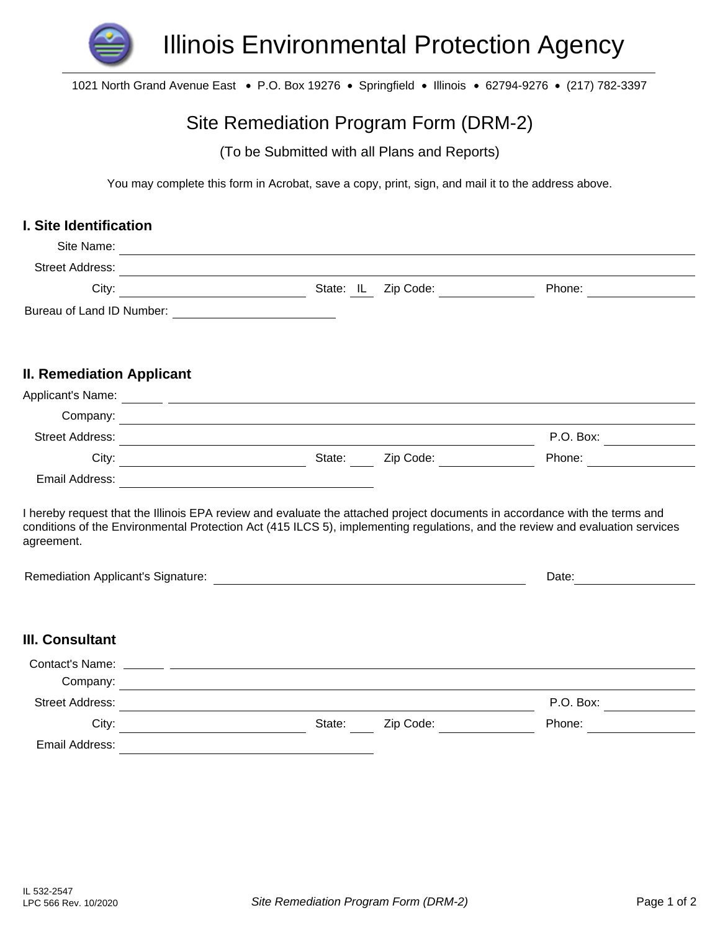

1021 North Grand Avenue East • P.O. Box 19276 • Springfield • Illinois • 62794-9276 • (217) 782-3397

# Site Remediation Program Form (DRM-2)

(To be Submitted with all Plans and Reports)

You may complete this form in Acrobat, save a copy, print, sign, and mail it to the address above.

### **I. Site Identification**

| Site Name:                       |                                                                                                                                                                                                                                                             |        |                                    |        |           |  |
|----------------------------------|-------------------------------------------------------------------------------------------------------------------------------------------------------------------------------------------------------------------------------------------------------------|--------|------------------------------------|--------|-----------|--|
| <b>Street Address:</b>           | <u> 1980 - Johann Barbara, martxa alemaniar arg</u>                                                                                                                                                                                                         |        |                                    |        |           |  |
| City:                            | State: IL                                                                                                                                                                                                                                                   |        | Zip Code: <u>_________________</u> |        | Phone:    |  |
|                                  |                                                                                                                                                                                                                                                             |        |                                    |        |           |  |
| <b>II. Remediation Applicant</b> |                                                                                                                                                                                                                                                             |        |                                    |        |           |  |
|                                  | Applicant's Name: <u>IV</u>                                                                                                                                                                                                                                 |        |                                    |        |           |  |
|                                  |                                                                                                                                                                                                                                                             |        |                                    |        |           |  |
| <b>Street Address:</b>           | <u> 1980 - Johann Barn, mars ann an t-Amhain Aonaich an t-Aonaich an t-Aonaich ann an t-Aonaich ann an t-Aonaich</u>                                                                                                                                        |        |                                    |        | P.O. Box: |  |
|                                  |                                                                                                                                                                                                                                                             |        | Zip Code:                          |        | Phone:    |  |
|                                  |                                                                                                                                                                                                                                                             |        |                                    |        |           |  |
| agreement.                       | I hereby request that the Illinois EPA review and evaluate the attached project documents in accordance with the terms and<br>conditions of the Environmental Protection Act (415 ILCS 5), implementing regulations, and the review and evaluation services |        |                                    |        |           |  |
|                                  |                                                                                                                                                                                                                                                             |        |                                    | Date:  |           |  |
| <b>III. Consultant</b><br>$\Box$ |                                                                                                                                                                                                                                                             |        |                                    |        |           |  |
| Contact's Name:<br>Company:      | <u> 1989 - Johann Stein, marwolaethau a bhann an t-Amhainn an t-Amhainn an t-Amhainn an t-Amhainn an t-Amhainn a</u>                                                                                                                                        |        |                                    |        |           |  |
| Street Address:                  | and the control of the control of the control of the control of the control of the control of the control of the                                                                                                                                            |        |                                    |        | P.O. Box: |  |
| City:                            | <u> 1980 - Johann John Stein, mars ar yw i ganwys y cynnwys y cynnwys y cynnwys y cynnwys y cynnwys y cynnwys y c</u><br><u> 1989 - Johann Barbara, martin a</u>                                                                                            | State: | Zip Code:                          | Phone: |           |  |
| Email Address:                   |                                                                                                                                                                                                                                                             |        |                                    |        |           |  |